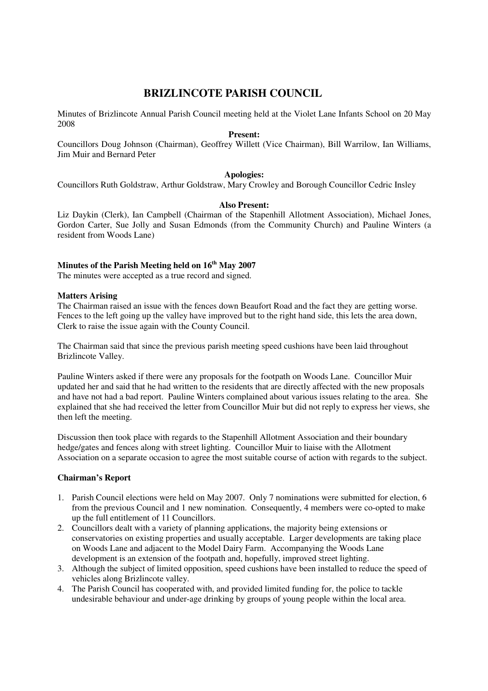# **BRIZLINCOTE PARISH COUNCIL**

Minutes of Brizlincote Annual Parish Council meeting held at the Violet Lane Infants School on 20 May 2008

### **Present:**

Councillors Doug Johnson (Chairman), Geoffrey Willett (Vice Chairman), Bill Warrilow, Ian Williams, Jim Muir and Bernard Peter

# **Apologies:**

Councillors Ruth Goldstraw, Arthur Goldstraw, Mary Crowley and Borough Councillor Cedric Insley

### **Also Present:**

Liz Daykin (Clerk), Ian Campbell (Chairman of the Stapenhill Allotment Association), Michael Jones, Gordon Carter, Sue Jolly and Susan Edmonds (from the Community Church) and Pauline Winters (a resident from Woods Lane)

# **Minutes of the Parish Meeting held on 16th May 2007**

The minutes were accepted as a true record and signed.

#### **Matters Arising**

The Chairman raised an issue with the fences down Beaufort Road and the fact they are getting worse. Fences to the left going up the valley have improved but to the right hand side, this lets the area down, Clerk to raise the issue again with the County Council.

The Chairman said that since the previous parish meeting speed cushions have been laid throughout Brizlincote Valley.

Pauline Winters asked if there were any proposals for the footpath on Woods Lane. Councillor Muir updated her and said that he had written to the residents that are directly affected with the new proposals and have not had a bad report. Pauline Winters complained about various issues relating to the area. She explained that she had received the letter from Councillor Muir but did not reply to express her views, she then left the meeting.

Discussion then took place with regards to the Stapenhill Allotment Association and their boundary hedge/gates and fences along with street lighting. Councillor Muir to liaise with the Allotment Association on a separate occasion to agree the most suitable course of action with regards to the subject.

# **Chairman's Report**

- 1. Parish Council elections were held on May 2007. Only 7 nominations were submitted for election, 6 from the previous Council and 1 new nomination. Consequently, 4 members were co-opted to make up the full entitlement of 11 Councillors.
- 2. Councillors dealt with a variety of planning applications, the majority being extensions or conservatories on existing properties and usually acceptable. Larger developments are taking place on Woods Lane and adjacent to the Model Dairy Farm. Accompanying the Woods Lane development is an extension of the footpath and, hopefully, improved street lighting.
- 3. Although the subject of limited opposition, speed cushions have been installed to reduce the speed of vehicles along Brizlincote valley.
- 4. The Parish Council has cooperated with, and provided limited funding for, the police to tackle undesirable behaviour and under-age drinking by groups of young people within the local area.